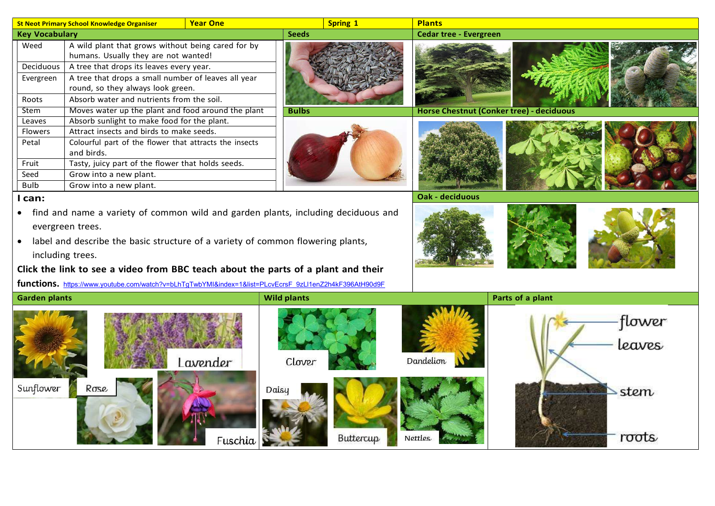|                       | <b>Year One</b><br><b>St Neot Primary School Knowledge Organiser</b>                                   | Spring 1           | <b>Plants</b>                            |
|-----------------------|--------------------------------------------------------------------------------------------------------|--------------------|------------------------------------------|
| <b>Key Vocabulary</b> |                                                                                                        | <b>Seeds</b>       | <b>Cedar tree - Evergreen</b>            |
| Weed                  | A wild plant that grows without being cared for by<br>humans. Usually they are not wanted!             |                    |                                          |
| Deciduous             | A tree that drops its leaves every year.                                                               |                    |                                          |
| Evergreen             | A tree that drops a small number of leaves all year                                                    |                    |                                          |
|                       | round, so they always look green.                                                                      |                    |                                          |
| Roots                 | Absorb water and nutrients from the soil.                                                              |                    |                                          |
| <b>Stem</b>           | Moves water up the plant and food around the plant                                                     | <b>Bulbs</b>       | Horse Chestnut (Conker tree) - deciduous |
| Leaves                | Absorb sunlight to make food for the plant.                                                            |                    |                                          |
| <b>Flowers</b>        | Attract insects and birds to make seeds.                                                               |                    |                                          |
| Petal                 | Colourful part of the flower that attracts the insects                                                 |                    |                                          |
|                       | and birds.                                                                                             |                    |                                          |
| Fruit                 | Tasty, juicy part of the flower that holds seeds.                                                      |                    |                                          |
| Seed                  | Grow into a new plant.                                                                                 |                    |                                          |
| <b>Bulb</b>           | Grow into a new plant.                                                                                 |                    |                                          |
| I can:                |                                                                                                        |                    | Oak - deciduous                          |
|                       | • find and name a variety of common wild and garden plants, including deciduous and                    |                    |                                          |
|                       | evergreen trees.                                                                                       |                    |                                          |
|                       | label and describe the basic structure of a variety of common flowering plants,                        |                    |                                          |
|                       |                                                                                                        |                    |                                          |
|                       | including trees.                                                                                       |                    |                                          |
|                       | Click the link to see a video from BBC teach about the parts of a plant and their                      |                    |                                          |
|                       | functions. https://www.youtube.com/watch?v=bLhTgTwbYMI&index=1&list=PLcvEcrsF 9zLI1enZ2h4kF396AtH90d9F |                    |                                          |
| <b>Garden plants</b>  |                                                                                                        | <b>Wild plants</b> | Parts of a plant                         |
|                       |                                                                                                        |                    |                                          |
|                       |                                                                                                        |                    | tower                                    |
|                       |                                                                                                        |                    |                                          |
|                       |                                                                                                        |                    | leaves                                   |
|                       |                                                                                                        |                    |                                          |
|                       | Lavender                                                                                               | Clover             | Dandelion                                |
|                       |                                                                                                        |                    |                                          |
| Sunflower             | Rose                                                                                                   | Daisy              | stem                                     |
|                       |                                                                                                        |                    |                                          |
|                       |                                                                                                        |                    |                                          |
|                       |                                                                                                        |                    |                                          |
|                       |                                                                                                        |                    |                                          |
|                       | Fuschia                                                                                                | Buttercup          | roots<br><b>Nettles</b>                  |